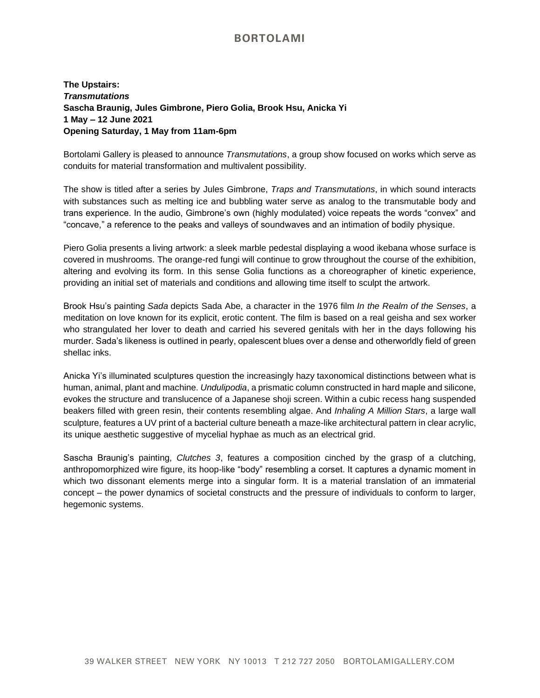## **BORTOLAMI**

**The Upstairs:**  *Transmutations* **Sascha Braunig, Jules Gimbrone, Piero Golia, Brook Hsu, Anicka Yi 1 May – 12 June 2021 Opening Saturday, 1 May from 11am-6pm**

Bortolami Gallery is pleased to announce *Transmutations*, a group show focused on works which serve as conduits for material transformation and multivalent possibility.

The show is titled after a series by Jules Gimbrone, *Traps and Transmutations*, in which sound interacts with substances such as melting ice and bubbling water serve as analog to the transmutable body and trans experience. In the audio, Gimbrone's own (highly modulated) voice repeats the words "convex" and "concave," a reference to the peaks and valleys of soundwaves and an intimation of bodily physique.

Piero Golia presents a living artwork: a sleek marble pedestal displaying a wood ikebana whose surface is covered in mushrooms. The orange-red fungi will continue to grow throughout the course of the exhibition, altering and evolving its form. In this sense Golia functions as a choreographer of kinetic experience, providing an initial set of materials and conditions and allowing time itself to sculpt the artwork.

Brook Hsu's painting *Sada* depicts Sada Abe, a character in the 1976 film *In the Realm of the Senses*, a meditation on love known for its explicit, erotic content. The film is based on a real geisha and sex worker who strangulated her lover to death and carried his severed genitals with her in the days following his murder. Sada's likeness is outlined in pearly, opalescent blues over a dense and otherworldly field of green shellac inks.

Anicka Yi's illuminated sculptures question the increasingly hazy taxonomical distinctions between what is human, animal, plant and machine. *Undulipodia*, a prismatic column constructed in hard maple and silicone, evokes the structure and translucence of a Japanese shoji screen. Within a cubic recess hang suspended beakers filled with green resin, their contents resembling algae. And *Inhaling A Million Stars*, a large wall sculpture, features a UV print of a bacterial culture beneath a maze-like architectural pattern in clear acrylic, its unique aesthetic suggestive of mycelial hyphae as much as an electrical grid.

Sascha Braunig's painting, *Clutches 3*, features a composition cinched by the grasp of a clutching, anthropomorphized wire figure, its hoop-like "body" resembling a corset. It captures a dynamic moment in which two dissonant elements merge into a singular form. It is a material translation of an immaterial concept – the power dynamics of societal constructs and the pressure of individuals to conform to larger, hegemonic systems.